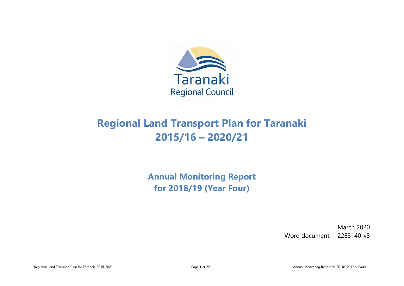

# **Regional Land Transport Plan for Taranaki 2015/16 – 2020/21**

**Annual Monitoring Report for 2018/19 (Year Four)**

> March 2020 Word document: 2283140-v3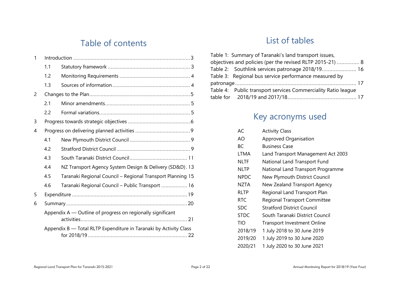## Table of contents

| 1 |     |                                                                   |
|---|-----|-------------------------------------------------------------------|
|   | 1.1 |                                                                   |
|   | 1.2 |                                                                   |
|   | 1.3 |                                                                   |
| 2 |     |                                                                   |
|   | 2.1 |                                                                   |
|   | 2.2 |                                                                   |
| 3 |     |                                                                   |
| 4 |     |                                                                   |
|   | 4.1 |                                                                   |
|   | 4.2 |                                                                   |
|   | 4.3 |                                                                   |
|   | 4.4 | NZ Transport Agency System Design & Delivery (SD&D). 13           |
|   | 4.5 | Taranaki Regional Council - Regional Transport Planning 15        |
|   | 4.6 | Taranaki Regional Council - Public Transport  16                  |
| 5 |     |                                                                   |
| 6 |     |                                                                   |
|   |     | Appendix A — Outline of progress on regionally significant        |
|   |     | Appendix B - Total RLTP Expenditure in Taranaki by Activity Class |

# List of tables

| Table 1: Summary of Taranaki's land transport issues,         |  |
|---------------------------------------------------------------|--|
| objectives and policies (per the revised RLTP 2015-21)  8     |  |
| Table 2: Southlink services patronage 2018/19 16              |  |
| Table 3: Regional bus service performance measured by         |  |
|                                                               |  |
| Table 4: Public transport services Commerciality Ratio league |  |
|                                                               |  |

# Key acronyms used

| AC.         | <b>Activity Class</b>               |
|-------------|-------------------------------------|
| AO          | <b>Approved Organisation</b>        |
| ВC          | Business Case                       |
| <b>LTMA</b> | Land Transport Management Act 2003  |
| NLTF        | National Land Transport Fund        |
| <b>NLTP</b> | National Land Transport Programme   |
| <b>NPDC</b> | New Plymouth District Council       |
| NZTA        | New Zealand Transport Agency        |
| RLTP        | Regional Land Transport Plan        |
| <b>RTC</b>  | <b>Regional Transport Committee</b> |
| <b>SDC</b>  | <b>Stratford District Council</b>   |
| <b>STDC</b> | South Taranaki District Council     |
| TIO         | <b>Transport Investment Online</b>  |
| 2018/19     | 1 July 2018 to 30 June 2019         |
| 2019/20     | 1 July 2019 to 30 June 2020         |
| 2020/21     | 1 July 2020 to 30 June 2021         |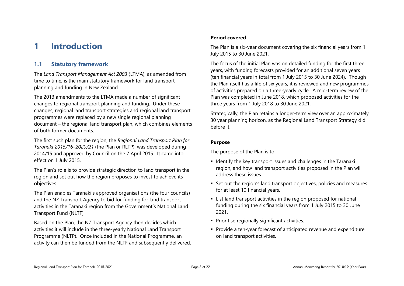# <span id="page-2-0"></span>**1 Introduction**

## <span id="page-2-1"></span>**1.1 Statutory framework**

The *Land Transport Management Act 2003* (LTMA), as amended from time to time, is the main statutory framework for land transport planning and funding in New Zealand.

The 2013 amendments to the LTMA made a number of significant changes to regional transport planning and funding. Under these changes, regional land transport strategies and regional land transport programmes were replaced by a new single regional planning document – the regional land transport plan, which combines elements of both former documents.

The first such plan for the region, the *Regional Land Transport Plan for Taranaki 2015/16–2020/21* (the Plan or RLTP), was developed during 2014/15 and approved by Council on the 7 April 2015. It came into effect on 1 July 2015.

The Plan's role is to provide strategic direction to land transport in the region and set out how the region proposes to invest to achieve its objectives.

The Plan enables Taranaki's approved organisations (the four councils) and the NZ Transport Agency to bid for funding for land transport activities in the Taranaki region from the Government's National Land Transport Fund (NLTF).

Based on the Plan, the NZ Transport Agency then decides which activities it will include in the three-yearly National Land Transport Programme (NLTP). Once included in the National Programme, an activity can then be funded from the NLTF and subsequently delivered.

## **Period covered**

The Plan is a six-year document covering the six financial years from 1 July 2015 to 30 June 2021.

The focus of the initial Plan was on detailed funding for the first three years, with funding forecasts provided for an additional seven years (ten financial years in total from 1 July 2015 to 30 June 2024). Though the Plan itself has a life of six years, it is reviewed and new programmes of activities prepared on a three-yearly cycle. A mid-term review of the Plan was completed in June 2018, which proposed activities for the three years from 1 July 2018 to 30 June 2021.

Strategically, the Plan retains a longer-term view over an approximately 30 year planning horizon, as the Regional Land Transport Strategy did before it.

### **Purpose**

The purpose of the Plan is to:

- Identify the key transport issues and challenges in the Taranaki region, and how land transport activities proposed in the Plan will address these issues.
- Set out the region's land transport objectives, policies and measures for at least 10 financial years.
- List land transport activities in the region proposed for national funding during the six financial years from 1 July 2015 to 30 June 2021.
- **Prioritise regionally significant activities.**
- Provide a ten-year forecast of anticipated revenue and expenditure on land transport activities.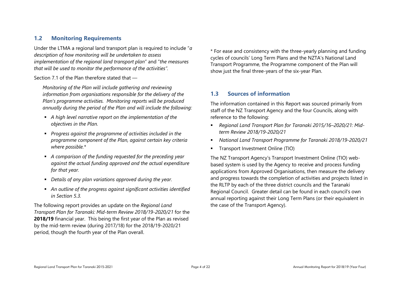## <span id="page-3-0"></span>**1.2 Monitoring Requirements**

Under the LTMA a regional land transport plan is required to include "*a description of how monitoring will be undertaken to assess implementation of the regional land transport plan*" and "*the measures that will be used to monitor the performance of the activities".*

Section 7.1 of the Plan therefore stated that —

*Monitoring of the Plan will include gathering and reviewing information from organisations responsible for the delivery of the Plan's programme activities. Monitoring reports will be produced annually during the period of the Plan and will include the following:*

- *A high level narrative report on the implementation of the objectives in the Plan.*
- *Progress against the programme of activities included in the programme component of the Plan, against certain key criteria where possible.\**
- *A comparison of the funding requested for the preceding year against the actual funding approved and the actual expenditure for that year.*
- *Details of any plan variations approved during the year.*
- *An outline of the progress against significant activities identified in Section 5.3.*

The following report provides an update on the *Regional Land Transport Plan for Taranaki: Mid-term Review 2018/19-2020/21* for the **2018/19** financial year. This being the first year of the Plan as revised by the mid-term review (during 2017/18) for the 2018/19-2020/21 period, though the fourth year of the Plan overall.

\* For ease and consistency with the three-yearly planning and funding cycles of councils' Long Term Plans and the NZTA's National Land Transport Programme, the Programme component of the Plan will show just the final three-years of the six-year Plan.

## <span id="page-3-1"></span>**1.3 Sources of information**

The information contained in this Report was sourced primarily from staff of the NZ Transport Agency and the four Councils, along with reference to the following:

- *Regional Land Transport Plan for Taranaki 2015/16–2020/21: Midterm Review 2018/19-2020/21*
- *National Land Transport Programme for Taranaki 2018/19-2020/21*
- **Transport Investment Online (TIO)**

The NZ Transport Agency's Transport Investment Online (TIO) webbased system is used by the Agency to receive and process funding applications from Approved Organisations, then measure the delivery and progress towards the completion of activities and projects listed in the RLTP by each of the three district councils and the Taranaki Regional Council. Greater detail can be found in each council's own annual reporting against their Long Term Plans (or their equivalent in the case of the Transport Agency).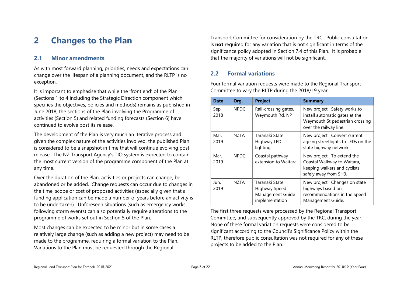# <span id="page-4-0"></span>**2 Changes to the Plan**

## <span id="page-4-1"></span>**2.1 Minor amendments**

As with most forward planning, priorities, needs and expectations can change over the lifespan of a planning document, and the RLTP is no exception.

It is important to emphasise that while the 'front end' of the Plan (Sections 1 to 4 including the Strategic Direction component which specifies the objectives, policies and methods) remains as published in June 2018, the sections of the Plan involving the Programme of activities (Section 5) and related funding forecasts (Section 6) have continued to evolve post its release.

The development of the Plan is very much an iterative process and given the complex nature of the activities involved, the published Plan is considered to be a snapshot in time that will continue evolving post release. The NZ Transport Agency's TIO system is expected to contain the most current version of the programme component of the Plan at any time.

Over the duration of the Plan, activities or projects can change, be abandoned or be added. Change requests can occur due to changes in the time, scope or cost of proposed activities (especially given that a funding application can be made a number of years before an activity is to be undertaken). Unforeseen situations (such as emergency works following storm events) can also potentially require alterations to the programme of works set out in Section 5 of the Plan.

Most changes can be expected to be minor but in some cases a relatively large change (such as adding a new project) may need to be made to the programme, requiring a formal variation to the Plan. Variations to the Plan must be requested through the Regional

Transport Committee for consideration by the TRC. Public consultation is **not** required for any variation that is not significant in terms of the significance policy adopted in Section 7.4 of this Plan. It is probable that the majority of variations will not be significant.

## <span id="page-4-2"></span>**2.2 Formal variations**

Four formal variation requests were made to the Regional Transport Committee to vary the RLTP during the 2018/19 year:

| Date         | Org.        | <b>Project</b>                                                        | <b>Summary</b>                                                                                                              |  |  |  |
|--------------|-------------|-----------------------------------------------------------------------|-----------------------------------------------------------------------------------------------------------------------------|--|--|--|
| Sep.<br>2018 | <b>NPDC</b> | Rail-crossing gates,<br>Weymouth Rd, NP                               | New project: Safety works to<br>install automatic gates at the<br>Weymouth St pedestrian crossing<br>over the railway line. |  |  |  |
| Mar.<br>2019 | NZTA        | Taranaki State<br>Highway LED<br>lighting                             | New project: Convert current<br>ageing streetlights to LEDs on the<br>state highway network.                                |  |  |  |
| Mar.<br>2019 | NPDC        | Coastal pathway<br>extension to Waitara                               | New project: To extend the<br>Coastal Walkway to Waitara,<br>keeping walkers and cyclists<br>safely away from SH3.          |  |  |  |
| Jun.<br>2019 | NZTA        | Taranaki State<br>Highway Speed<br>Management Guide<br>implementation | New project: Changes on state<br>highways based on<br>recommendations in the Speed<br>Management Guide.                     |  |  |  |

The first three requests were processed by the Regional Transport Committee, and subsequently approved by the TRC, during the year. None of these formal variation requests were considered to be significant according to the Council's Significance Policy within the RLTP, therefore public consultation was not required for any of these projects to be added to the Plan.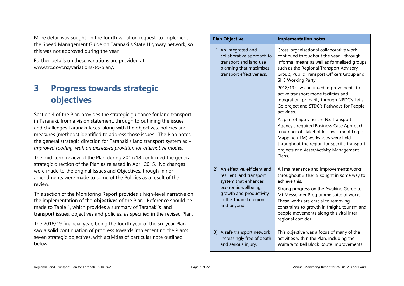More detail was sought on the fourth variation request, to implement the Speed Management Guide on Taranaki's State Highway network, so this was not approved during the year.

Further details on these variations are provided at [www.trc.govt.nz/variations-to-plan/](http://www.trc.govt.nz/variations-to-plan/)**.**

# <span id="page-5-0"></span>**3 Progress towards strategic objectives**

Section 4 of the Plan provides the strategic guidance for land transport in Taranaki, from a vision statement, through to outlining the issues and challenges Taranaki faces, along with the objectives, policies and measures (methods) identified to address those issues. The Plan notes the general strategic direction for Taranaki's land transport system as – *Improved roading, with an increased provision for alternative modes.* 

The mid-term review of the Plan during 2017/18 confirmed the general strategic direction of the Plan as released in April 2015. No changes were made to the original Issues and Objectives, though minor amendments were made to some of the Policies as a result of the review.

This section of the Monitoring Report provides a high-level narrative on the implementation of the **objectives** of the Plan. Reference should be made to Table 1, which provides a summary of Taranaki's land transport issues, objectives and policies, as specified in the revised Plan.

The 2018/19 financial year, being the fourth year of the six-year Plan, saw a solid continuation of progress towards implementing the Plan's seven strategic objectives, with activities of particular note outlined below.

| <b>Plan Objective</b>                                                                                                              | <b>Implementation notes</b>                                                                                                                                                                                                                                                                                                                                                                                                                  |
|------------------------------------------------------------------------------------------------------------------------------------|----------------------------------------------------------------------------------------------------------------------------------------------------------------------------------------------------------------------------------------------------------------------------------------------------------------------------------------------------------------------------------------------------------------------------------------------|
| 1) An integrated and<br>collaborative approach to<br>transport and land use<br>planning that maximises<br>transport effectiveness. | Cross-organisational collaborative work<br>continued throughout the year - through<br>informal means as well as formalised groups<br>such as the Regional Transport Advisory<br>Group, Public Transport Officers Group and<br>SH3 Working Party.<br>2018/19 saw continued improvements to<br>active transport mode facilities and<br>integration, primarily through NPDC's Let's<br>Go project and STDC's Pathways for People<br>activities. |
|                                                                                                                                    | As part of applying the NZ Transport<br>Agency's required Business Case Approach,<br>a number of stakeholder Investment Logic<br>Mapping (ILM) workshops were held<br>throughout the region for specific transport<br>projects and Asset/Activity Management<br>Plans.                                                                                                                                                                       |
| 2) An effective, efficient and<br>resilient land transport<br>system that enhances                                                 | All maintenance and improvements works<br>throughout 2018/19 sought in some way to<br>achieve this.                                                                                                                                                                                                                                                                                                                                          |
| economic wellbeing,<br>growth and productivity<br>in the Taranaki region<br>and beyond.                                            | Strong progress on the Awakino Gorge to<br>Mt Messenger Programme suite of works.<br>These works are crucial to removing<br>constraints to growth in freight, tourism and<br>people movements along this vital inter-<br>regional corridor.                                                                                                                                                                                                  |
| 3) A safe transport network<br>increasingly free of death<br>and serious injury.                                                   | This objective was a focus of many of the<br>activities within the Plan, including the<br>Waitara to Bell Block Route Improvements                                                                                                                                                                                                                                                                                                           |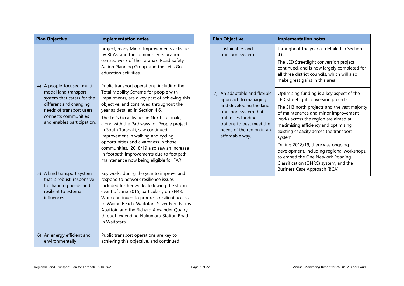| <b>Plan Objective</b> |                                                                                                                                                                                                | <b>Implementation notes</b>                                                                                                                                                                                                                                                                                                                                                                                                                                                                                                                                           | <b>Plan Obje</b>                                                           |
|-----------------------|------------------------------------------------------------------------------------------------------------------------------------------------------------------------------------------------|-----------------------------------------------------------------------------------------------------------------------------------------------------------------------------------------------------------------------------------------------------------------------------------------------------------------------------------------------------------------------------------------------------------------------------------------------------------------------------------------------------------------------------------------------------------------------|----------------------------------------------------------------------------|
|                       |                                                                                                                                                                                                | project, many Minor Improvements activities<br>by RCAs, and the community education<br>centred work of the Taranaki Road Safety<br>Action Planning Group, and the Let's Go<br>education activities.                                                                                                                                                                                                                                                                                                                                                                   | sustai<br>transp                                                           |
|                       | 4) A people-focused, multi-<br>modal land transport<br>system that caters for the<br>different and changing<br>needs of transport users,<br>connects communities<br>and enables participation. | Public transport operations, including the<br>Total Mobility Scheme for people with<br>impairments, are a key part of achieving this<br>objective, and continued throughout the<br>year as detailed in Section 4.6.<br>The Let's Go activities in North Taranaki,<br>along with the Pathways for People project<br>in South Taranaki, saw continued<br>improvement in walking and cycling<br>opportunities and awareness in those<br>communities. 2018/19 also saw an increase<br>in footpath improvements due to footpath<br>maintenance now being eligible for FAR. | 7) An ad<br>appro<br>and d<br>transp<br>optim<br>option<br>needs<br>afford |
|                       | 5) A land transport system<br>that is robust, responsive<br>to changing needs and<br>resilient to external<br>influences.                                                                      | Key works during the year to improve and<br>respond to network resilience issues<br>included further works following the storm<br>event of June 2015, particularly on SH43.<br>Work continued to progress resilient access<br>to Waiinu Beach, Waitotara Silver Fern Farms<br>Abattoir, and the Richard Alexander Quarry,<br>through extending Nukumaru Station Road<br>in Waitotara.                                                                                                                                                                                 |                                                                            |
|                       | 6) An energy efficient and<br>environmentally                                                                                                                                                  | Public transport operations are key to<br>achieving this objective, and continued                                                                                                                                                                                                                                                                                                                                                                                                                                                                                     |                                                                            |

| <b>Plan Objective</b>                                                                                                                                                                                     | <b>Implementation notes</b>                                                                                                                                                                                                                                                                                                                                                                                                                                                                                     |  |  |  |
|-----------------------------------------------------------------------------------------------------------------------------------------------------------------------------------------------------------|-----------------------------------------------------------------------------------------------------------------------------------------------------------------------------------------------------------------------------------------------------------------------------------------------------------------------------------------------------------------------------------------------------------------------------------------------------------------------------------------------------------------|--|--|--|
| sustainable land<br>transport system.                                                                                                                                                                     | throughout the year as detailed in Section<br>4.6.<br>The LED Streetlight conversion project<br>continued, and is now largely completed for<br>all three district councils, which will also<br>make great gains in this area.                                                                                                                                                                                                                                                                                   |  |  |  |
| 7) An adaptable and flexible<br>approach to managing<br>and developing the land<br>transport system that<br>optimises funding<br>options to best meet the<br>needs of the region in an<br>affordable way. | Optimising funding is a key aspect of the<br>LED Streetlight conversion projects.<br>The SH3 north projects and the vast majority<br>of maintenance and minor improvement<br>works across the region are aimed at<br>maximising efficiency and optimising<br>existing capacity across the transport<br>system.<br>During 2018/19, there was ongoing<br>development, including regional workshops,<br>to embed the One Network Roading<br>Classification (ONRC) system, and the<br>Business Case Approach (BCA). |  |  |  |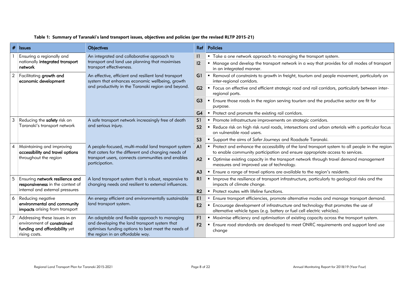| #              | <b>Issues</b>                                                                          | <b>Objectives</b>                                                                                                                                                                 | Ref <sub>1</sub> | <b>Policies</b>                                                                                                                                                                  |
|----------------|----------------------------------------------------------------------------------------|-----------------------------------------------------------------------------------------------------------------------------------------------------------------------------------|------------------|----------------------------------------------------------------------------------------------------------------------------------------------------------------------------------|
|                | Ensuring a regionally and                                                              | An integrated and collaborative approach to                                                                                                                                       | $\mathbf{1}$     | " Take a one network approach to managing the transport system.                                                                                                                  |
|                | nationally integrated transport<br>network                                             | transport and land use planning that maximises<br>transport effectiveness.                                                                                                        |                  | " Manage and develop the transport network in a way that provides for all modes of transport<br>in an integrated manner.                                                         |
| $\overline{2}$ | Facilitating growth and<br>economic development                                        | An effective, efficient and resilient land transport<br>system that enhances economic wellbeing, growth                                                                           | G1               | • Removal of constraints to growth in freight, tourism and people movement, particularly on<br>inter-regional corridors.                                                         |
|                |                                                                                        | and productivity in the Taranaki region and beyond.                                                                                                                               |                  | " Focus on effective and efficient strategic road and rail corridors, particularly between inter-<br>regional ports.                                                             |
|                |                                                                                        |                                                                                                                                                                                   |                  | • Ensure those roads in the region serving tourism and the productive sector are fit for<br>purpose.                                                                             |
|                |                                                                                        |                                                                                                                                                                                   | G4               | • Protect and promote the existing rail corridors.                                                                                                                               |
| 3              | Reducing the safety risk on                                                            | A safe transport network increasingly free of death                                                                                                                               | S <sub>1</sub>   | • Promote infrastructure improvements on strategic corridors.                                                                                                                    |
|                | Taranaki's transport network                                                           | and serious injury.                                                                                                                                                               | S <sub>2</sub>   | " Reduce risk on high risk rural roads, intersections and urban arterials with a particular focus<br>on vulnerable road users.                                                   |
|                |                                                                                        |                                                                                                                                                                                   | S <sub>3</sub>   | • Support the aims of Safer Journeys and Roadsafe Taranaki.                                                                                                                      |
| $\overline{A}$ | Maintaining and improving<br>accessibility and travel options<br>throughout the region | A people-focused, multi-modal land transport system<br>that caters for the different and changing needs of<br>transport users, connects communities and enables<br>participation. | A <sup>1</sup>   | • Protect and enhance the accessibility of the land transport system to all people in the region<br>to enable community participation and ensure appropriate access to services. |
|                |                                                                                        |                                                                                                                                                                                   | A2               | • Optimise existing capacity in the transport network through travel demand management<br>measures and improved use of technology.                                               |
|                |                                                                                        |                                                                                                                                                                                   |                  | " Ensure a range of travel options are available to the region's residents.                                                                                                      |
| 5              | Ensuring network resilience and<br>responsiveness in the context of                    | A land transport system that is robust, responsive to<br>changing needs and resilient to external influences.                                                                     | R1               | Improve the resilience of transport infrastructure, particularly to geological risks and the<br>impacts of climate change.                                                       |
|                | internal and external pressures                                                        |                                                                                                                                                                                   |                  | • Protect routes with lifeline functions.                                                                                                                                        |
| 6              | Reducing negative                                                                      | An energy efficient and environmentally sustainable<br>land transport system.                                                                                                     |                  | Ensure transport efficiencies, promote alternative modes and manage transport demand.                                                                                            |
|                | environmental and community<br>impacts arising from transport                          |                                                                                                                                                                                   |                  | Encourage development of infrastructure and technology that promotes the use of<br>alternative vehicle types (e.g. battery or fuel cell electric vehicles).                      |
| 7              | Addressing these issues in an                                                          | An adaptable and flexible approach to managing                                                                                                                                    | F1               | • Maximise efficiency and optimisation of existing capacity across the transport system.                                                                                         |
|                | environment of constrained<br>funding and affordability yet<br>rising costs.           | and developing the land transport system that<br>optimises funding options to best meet the needs of<br>the region in an affordable way.                                          |                  | Ensure road standards are developed to meet ONRC requirements and support land use<br>change                                                                                     |

#### <span id="page-7-0"></span>**Table 1: Summary of Taranaki's land transport issues, objectives and policies (per the revised RLTP 2015-21)**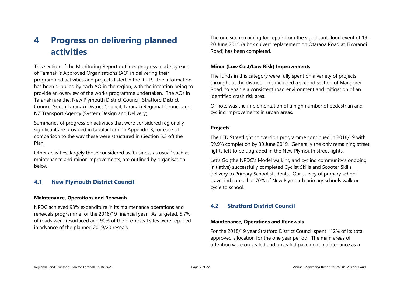# <span id="page-8-0"></span>**4 Progress on delivering planned activities**

This section of the Monitoring Report outlines progress made by each of Taranaki's Approved Organisations (AO) in delivering their programmed activities and projects listed in the RLTP. The information has been supplied by each AO in the region, with the intention being to provide an overview of the works programme undertaken. The AOs in Taranaki are the: New Plymouth District Council, Stratford District Council, South Taranaki District Council, Taranaki Regional Council and NZ Transport Agency (System Design and Delivery).

Summaries of progress on activities that were considered regionally significant are provided in tabular form in Appendix B, for ease of comparison to the way these were structured in (Section 5.3 of) the Plan.

Other activities, largely those considered as 'business as usual' such as maintenance and minor improvements, are outlined by organisation below.

## <span id="page-8-1"></span>**4.1 New Plymouth District Council**

#### **Maintenance, Operations and Renewals**

NPDC achieved 93% expenditure in its maintenance operations and renewals programme for the 2018/19 financial year. As targeted, 5.7% of roads were resurfaced and 90% of the pre-reseal sites were repaired in advance of the planned 2019/20 reseals.

The one site remaining for repair from the significant flood event of 19- 20 June 2015 (a box culvert replacement on Otaraoa Road at Tikorangi Road) has been completed.

#### **Minor (Low Cost/Low Risk) Improvements**

The funds in this category were fully spent on a variety of projects throughout the district. This included a second section of Mangorei Road, to enable a consistent road environment and mitigation of an identified crash risk area.

Of note was the implementation of a high number of pedestrian and cycling improvements in urban areas.

#### **Projects**

The LED Streetlight conversion programme continued in 2018/19 with 99.9% completion by 30 June 2019. Generally the only remaining street lights left to be upgraded in the New Plymouth street lights.

Let's Go (the NPDC's Model walking and cycling community's ongoing initiative) successfully completed Cyclist Skills and Scooter Skills delivery to Primary School students. Our survey of primary school travel indicates that 70% of New Plymouth primary schools walk or cycle to school.

## <span id="page-8-2"></span>**4.2 Stratford District Council**

#### **Maintenance, Operations and Renewals**

For the 2018/19 year Stratford District Council spent 112% of its total approved allocation for the one year period. The main areas of attention were on sealed and unsealed pavement maintenance as a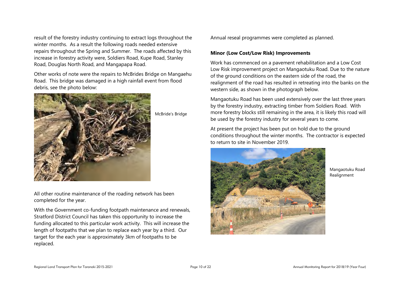result of the forestry industry continuing to extract logs throughout the winter months. As a result the following roads needed extensive repairs throughout the Spring and Summer. The roads affected by this increase in forestry activity were, Soldiers Road, Kupe Road, Stanley Road, Douglas North Road, and Mangapapa Road.

Other works of note were the repairs to McBrides Bridge on Mangaehu Road. This bridge was damaged in a high rainfall event from flood debris, see the photo below:



McBride's Bridge

All other routine maintenance of the roading network has been completed for the year.

With the Government co-funding footpath maintenance and renewals, Stratford District Council has taken this opportunity to increase the funding allocated to this particular work activity. This will increase the length of footpaths that we plan to replace each year by a third. Our target for the each year is approximately 3km of footpaths to be replaced.

Annual reseal programmes were completed as planned.

#### **Minor (Low Cost/Low Risk) Improvements**

Work has commenced on a pavement rehabilitation and a Low Cost Low Risk improvement project on Mangaotuku Road. Due to the nature of the ground conditions on the eastern side of the road, the realignment of the road has resulted in retreating into the banks on the western side, as shown in the photograph below.

Mangaotuku Road has been used extensively over the last three years by the forestry industry, extracting timber from Soldiers Road. With more forestry blocks still remaining in the area, it is likely this road will be used by the forestry industry for several years to come.

At present the project has been put on hold due to the ground conditions throughout the winter months. The contractor is expected to return to site in November 2019.



Mangaotuku Road Realignment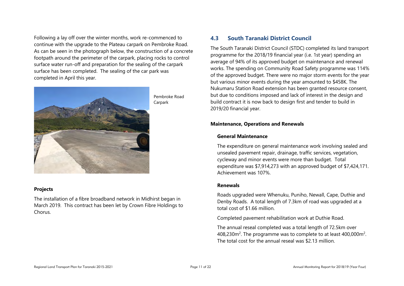Following a lay off over the winter months, work re-commenced to continue with the upgrade to the Plateau carpark on Pembroke Road. As can be seen in the photograph below, the construction of a concrete footpath around the perimeter of the carpark, placing rocks to control surface water run-off and preparation for the sealing of the carpark surface has been completed. The sealing of the car park was completed in April this year.



Pembroke Road Carpark

#### **Projects**

The installation of a fibre broadband network in Midhirst began in March 2019. This contract has been let by Crown Fibre Holdings to Chorus.

## <span id="page-10-0"></span>**4.3 South Taranaki District Council**

The South Taranaki District Council (STDC) completed its land transport programme for the 2018/19 financial year (i.e. 1st year) spending an average of 94% of its approved budget on maintenance and renewal works. The spending on Community Road Safety programme was 114% of the approved budget. There were no major storm events for the year but various minor events during the year amounted to \$458K. The Nukumaru Station Road extension has been granted resource consent, but due to conditions imposed and lack of interest in the design and build contract it is now back to design first and tender to build in 2019/20 financial year.

#### **Maintenance, Operations and Renewals**

#### **General Maintenance**

The expenditure on general maintenance work involving sealed and unsealed pavement repair, drainage, traffic services, vegetation, cycleway and minor events were more than budget. Total expenditure was \$7,914,273 with an approved budget of \$7,424,171. Achievement was 107%.

#### **Renewals**

Roads upgraded were Whenuku, Puniho, Newall, Cape, Duthie and Denby Roads. A total length of 7.3km of road was upgraded at a total cost of \$1.66 million.

Completed pavement rehabilitation work at Duthie Road.

The annual reseal completed was a total length of 72.5km over 408,230 $\text{m}^2$ . The programme was to complete to at least 400,000 $\text{m}^2$ . The total cost for the annual reseal was \$2.13 million.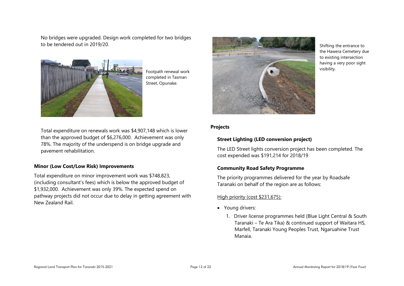No bridges were upgraded. Design work completed for two bridges to be tendered out in 2019/20.



Footpath renewal work completed in Tasman Street, Opunake.

Total expenditure on renewals work was \$4,907,148 which is lower than the approved budget of \$6,276,000. Achievement was only 78%. The majority of the underspend is on bridge upgrade and pavement rehabilitation.

#### **Minor (Low Cost/Low Risk) Improvements**

Total expenditure on minor improvement work was \$748,823, (including consultant's fees) which is below the approved budget of \$1,932,000. Achievement was only 39%. The expected spend on pathway projects did not occur due to delay in getting agreement with New Zealand Rail.



Shifting the entrance to the Hawera Cemetery due to existing intersection having a very poor sight visibility.

#### **Projects**

#### **Street Lighting (LED conversion project)**

The LED Street lights conversion project has been completed. The cost expended was \$191,214 for 2018/19

#### **Community Road Safety Programme**

The priority programmes delivered for the year by Roadsafe Taranaki on behalf of the region are as follows:

#### High priority (cost \$231,675):

- Young drivers:
	- 1. Driver license programmes held (Blue Light Central & South Taranaki – Te Ara Tika) & continued support of Waitara HS, Marfell, Taranaki Young Peoples Trust, Ngaruahine Trust Manaia.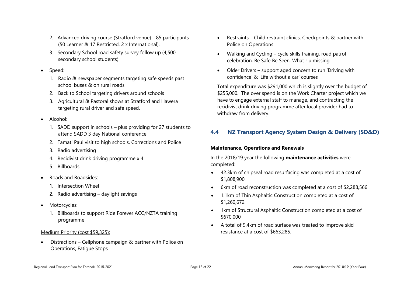- 2. Advanced driving course (Stratford venue) 85 participants (50 Learner & 17 Restricted, 2 x International).
- 3. Secondary School road safety survey follow up (4,500 secondary school students)
- Speed:
	- 1. Radio & newspaper segments targeting safe speeds past school buses & on rural roads
	- 2. Back to School targeting drivers around schools
	- 3. Agricultural & Pastoral shows at Stratford and Hawera targeting rural driver and safe speed.
- Alcohol:
	- 1. SADD support in schools plus providing for 27 students to attend SADD 3 day National conference
	- 2. Tamati Paul visit to high schools, Corrections and Police
	- 3. Radio advertising
	- 4. Recidivist drink driving programme x 4
	- 5. Billboards
- Roads and Roadsides:
	- 1. Intersection Wheel
	- 2. Radio advertising daylight savings
- Motorcycles:
	- 1. Billboards to support Ride Forever ACC/NZTA training programme

## Medium Priority (cost \$59,325):

 Distractions – Cellphone campaign & partner with Police on Operations, Fatigue Stops

- Restraints Child restraint clinics, Checkpoints & partner with Police on Operations
- Walking and Cycling cycle skills training, road patrol celebration, Be Safe Be Seen, What r u missing
- Older Drivers support aged concern to run 'Driving with confidence' & 'Life without a car' courses

Total expenditure was \$291,000 which is slightly over the budget of \$255,000. The over spend is on the Work Charter project which we have to engage external staff to manage, and contracting the recidivist drink driving programme after local provider had to withdraw from delivery.

## <span id="page-12-0"></span>**4.4 NZ Transport Agency System Design & Delivery (SD&D)**

## **Maintenance, Operations and Renewals**

In the 2018/19 year the following **maintenance activities** were completed:

- 42.3km of chipseal road resurfacing was completed at a cost of \$1,808,900.
- 6km of road reconstruction was completed at a cost of \$2,288,566.
- 1.1km of Thin Asphaltic Construction completed at a cost of \$1,260,672
- 1km of Structural Asphaltic Construction completed at a cost of \$670,000
- A total of 9.4km of road surface was treated to improve skid resistance at a cost of \$663,285.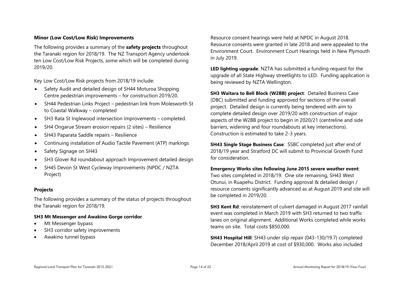#### **Minor (Low Cost/Low Risk) Improvements**

The following provides a summary of the **safety projects** throughout the Taranaki region for 2018/19. The NZ Transport Agency undertook ten Low Cost/Low Risk Projects, some which will be completed during 2019/20.

Key Low Cost/Low Risk projects from 2018/19 include:

- Safety Audit and detailed design of SH44 Moturoa Shopping Centre pedestrian improvements – for construction 2019/20.
- SH44 Pedestrian Links Project pedestrian link from Molesworth St to Coastal Walkway – completed
- SH3 Rata St Inglewood intersection Improvements completed.
- SH4 Ongarue Stream erosion repairs (2 sites) Resilience
- SH43 Paparata Saddle repairs Resilience
- Continuing installation of Audio Tactile Pavement (ATP) markings
- Safety Signage on SH43
- SH3 Glover Rd roundabout approach Improvement detailed design
- SH45 Devon St West Cycleway Improvements (NPDC / NZTA Project)

#### **Projects**

The following provides a summary of the status of projects throughout the Taranaki region for 2018/19.

#### **SH3 Mt Messenger and Awakino Gorge corridor**

- Mt Messenger bypass
- SH3 corridor safety improvements
- Awakino tunnel bypass

Resource consent hearings were held at NPDC in August 2018. Resource consents were granted in late 2018 and were appealed to the Environment Court. Environment Court Hearings held in New Plymouth in July 2019.

**LED lighting upgrade**: NZTA has submitted a funding request for the upgrade of all State Highway streetlights to LED. Funding application is being reviewed by NZTA Wellington.

**SH3 Waitara to Bell Block (W2BB) project**: Detailed Business Case (DBC) submitted and funding approved for sections of the overall project. Detailed design is currently being tendered with aim to complete detailed design over 2019/20 with construction of major aspects of the W2BB project to begin in 2020/21 (centreline and side barriers, widening and four roundabouts at key intersections). Construction is estimated to take 2-3 years.

**SH43 Single Stage Business Case**: SSBC completed just after end of 2018/19 year and Stratford DC will submit to Provincial Growth Fund for consideration.

## **Emergency Works sites following June 2015 severe weather event**:

Two sites completed in 2018/19. One site remaining, SH43 West Otunui, in Ruapehu District. Funding approval & detailed design / resource consents significantly advanced as at August 2019 and site will be completed in 2019/20.

**SH3 Kent Rd**: reinstatement of culvert damaged in August 2017 rainfall event was completed in March 2019 with SH3 returned to two traffic lanes on original alignment. Additional Works completed while works teams on site. Total costs \$850,000.

**SH43 Hospital Hill**: SH43 under slip repair (043-130/19.7) completed December 2018/April 2019 at cost of \$930,000. Works also included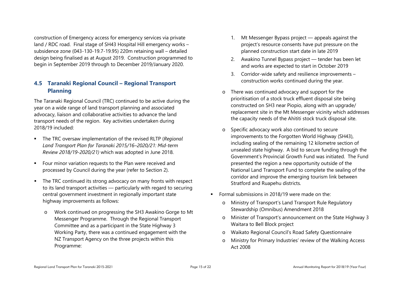construction of Emergency access for emergency services via private land / RDC road. Final stage of SH43 Hospital Hill emergency works – subsidence zone (043-130-19.7-19.95) 220m retaining wall – detailed design being finalised as at August 2019. Construction programmed to begin in September 2019 through to December 2019/January 2020.

## <span id="page-14-0"></span>**4.5 Taranaki Regional Council – Regional Transport Planning**

The Taranaki Regional Council (TRC) continued to be active during the year on a wide range of land transport planning and associated advocacy, liaison and collaborative activities to advance the land transport needs of the region. Key activities undertaken during 2018/19 included:

- The TRC oversaw implementation of the revised RLTP (*Regional Land Transport Plan for Taranaki 2015/16–2020/21: Mid-term Review 2018/19-2020/21)* which was adopted in June 2018.
- **Four minor variation requests to the Plan were received and** processed by Council during the year (refer to Section 2).
- The TRC continued its strong advocacy on many fronts with respect to its land transport activities — particularly with regard to securing central government investment in regionally important state highway improvements as follows:
	- o Work continued on progressing the SH3 Awakino Gorge to Mt Messenger Programme. Through the Regional Transport Committee and as a participant in the State Highway 3 Working Party, there was a continued engagement with the NZ Transport Agency on the three projects within this Programme:
- 1. Mt Messenger Bypass project appeals against the project's resource consents have put pressure on the planned construction start date in late 2019
- 2. Awakino Tunnel Bypass project tender has been let and works are expected to start in October 2019
- 3. Corridor-wide safety and resilience improvements construction works continued during the year.
- o There was continued advocacy and support for the prioritisation of a stock truck effluent disposal site being constructed on SH3 near Piopio, along with an upgrade/ replacement site in the Mt Messenger vicinity which addresses the capacity needs of the Ahititi stock truck disposal site.
- o Specific advocacy work also continued to secure improvements to the Forgotten World Highway (SH43), including sealing of the remaining 12 kilometre section of unsealed state highway. A bid to secure funding through the Government's Provincial Growth Fund was initiated. The Fund presented the region a new opportunity outside of the National Land Transport Fund to complete the sealing of the corridor and improve the emerging tourism link between Stratford and Ruapehu districts.
- **Formal submissions in 2018/19 were made on the:** 
	- o Ministry of Transport's Land Transport Rule Regulatory Stewardship (Omnibus) Amendment 2018
	- o Minister of Transport's announcement on the State Highway 3 Waitara to Bell Block project
	- o Waikato Regional Council's Road Safety Questionnaire
	- Ministry for Primary Industries' review of the Walking Access Act 2008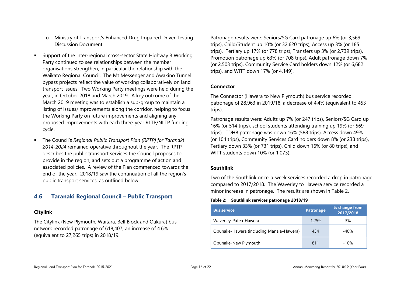- o Ministry of Transport's Enhanced Drug Impaired Driver Testing Discussion Document
- Support of the inter-regional cross-sector State Highway 3 Working Party continued to see relationships between the member organisations strengthen, in particular the relationship with the Waikato Regional Council. The Mt Messenger and Awakino Tunnel bypass projects reflect the value of working collaboratively on land transport issues. Two Working Party meetings were held during the year, in October 2018 and March 2019. A key outcome of the March 2019 meeting was to establish a sub-group to maintain a listing of issues/improvements along the corridor, helping to focus the Working Party on future improvements and aligning any proposed improvements with each three-year RLTP/NLTP funding cycle.
- The Council's *Regional Public Transport Plan (RPTP) for Taranaki 2014-2024* remained operative throughout the year. The RPTP describes the public transport services the Council proposes to provide in the region, and sets out a programme of action and associated policies. A review of the Plan commenced towards the end of the year. 2018/19 saw the continuation of all the region's public transport services, as outlined below.

## <span id="page-15-0"></span>**4.6 Taranaki Regional Council – Public Transport**

## **Citylink**

The Citylink (New Plymouth, Waitara, Bell Block and Oakura) bus network recorded patronage of 618,407, an increase of 4.6% (equivalent to 27,265 trips) in 2018/19.

Patronage results were: Seniors/SG Card patronage up 6% (or 3,569 trips), Child/Student up 10% (or 32,620 trips), Access up 3% (or 185 trips), Tertiary up 17% (or 778 trips), Transfers up 3% (or 2,739 trips), Promotion patronage up 63% (or 708 trips), Adult patronage down 7% (or 2,503 trips), Community Service Card holders down 12% (or 6,682 trips), and WITT down 17% (or 4,149).

## **Connector**

The Connector (Hawera to New Plymouth) bus service recorded patronage of 28,963 in 2019/18, a decrease of 4.4% (equivalent to 453 trips).

Patronage results were: Adults up 7% (or 247 trips), Seniors/SG Card up 16% (or 514 trips), school students attending training up 19% (or 569 trips). TDHB patronage was down 16% (588 trips), Access down 49% (or 104 trips), Community Services Card holders down 8% (or 238 trips), Tertiary down 33% (or 731 trips), Child down 16% (or 80 trips), and WITT students down 10% (or 1,073).

## **Southlink**

Two of the Southlink once-a-week services recorded a drop in patronage compared to 2017/2018. The Waverley to Hawera service recorded a minor increase in patronage. The results are shown in Table 2.

#### <span id="page-15-1"></span>**Table 2: Southlink services patronage 2018/19**

| <b>Bus service</b>                       | <b>Patronage</b> | % change from<br>2017/2018 |
|------------------------------------------|------------------|----------------------------|
| Waverley-Patea-Hawera                    | 1,259            | 3%                         |
| Opunake-Hawera (including Manaia-Hawera) | 434              | $-40%$                     |
| Opunake-New Plymouth                     | 811              | $-10%$                     |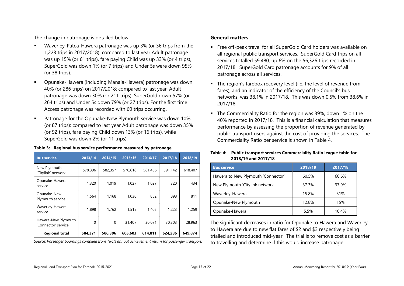The change in patronage is detailed below:

- Waverley-Patea-Hawera patronage was up 3% (or 36 trips from the 1,223 trips in 2017/2018): compared to last year Adult patronage was up 15% (or 61 trips), fare paying Child was up 33% (or 4 trips), SuperGold was down 1% (or 7 trips) and Under 5s were down 95% (or 38 trips).
- Opunake-Hawera (including Manaia-Hawera) patronage was down 40% (or 286 trips) on 2017/2018: compared to last year, Adult patronage was down 30% (or 211 trips), SuperGold down 57% (or 264 trips) and Under 5s down 79% (or 27 trips). For the first time Access patronage was recorded with 60 trips occurring.
- **Patronage for the Opunake-New Plymouth service was down 10%** (or 87 trips): compared to last year Adult patronage was down 35% (or 92 trips), fare paying Child down 13% (or 16 trips), while SuperGold was down 2% (or 11 trips).

<span id="page-16-0"></span>

| <b>Bus service</b>                         | 2013/14  | 2014/15  | 2015/16 | 2016/17 | 2017/18 | 2018/19 |
|--------------------------------------------|----------|----------|---------|---------|---------|---------|
| New Plymouth<br>'Citylink' network         | 578,396  | 582,357  | 570,616 | 581,456 | 591,142 | 618,407 |
| Opunake-Hawera<br>service                  | 1,320    | 1.019    | 1.027   | 1,027   | 720     | 434     |
| Opunake-New<br>Plymouth service            | 1,564    | 1,168    | 1,038   | 852     | 898     | 811     |
| Waverley-Hawera<br>service                 | 1,898    | 1.762    | 1,515   | 1,405   | 1,223   | 1,259   |
| Hawera-New Plymouth<br>'Connector' service | $\Omega$ | $\Omega$ | 31,407  | 30,071  | 30,303  | 28,963  |
| <b>Regional total</b>                      | 584.371  | 586.306  | 605,603 | 614.811 | 624.286 | 649.874 |

*Source: Passenger boardings compiled from TRC's annual achievement return for passenger transport.*

#### **General matters**

- Free off-peak travel for all SuperGold Card holders was available on all regional public transport services. SuperGold Card trips on all services totalled 59,480, up 6% on the 56,326 trips recorded in 2017/18. SuperGold Card patronage accounts for 9% of all patronage across all services.
- The region's farebox recovery level (i.e. the level of revenue from fares), and an indicator of the efficiency of the Council's bus networks, was 38.1% in 2017/18. This was down 0.5% from 38.6% in 2017/18.
- The Commerciality Ratio for the region was 39%, down 1% on the 40% reported in 2017/18. This is a financial calculation that measures performance by assessing the proportion of revenue generated by public transport users against the cost of providing the services. The Commerciality Ratio per service is shown in Table 4.

#### <span id="page-16-1"></span>**Table 4: Public transport services Commerciality Ratio league table for 2018/19 and 2017/18**

| <b>Bus service</b>                 | 2018/19 | 2017/18 |
|------------------------------------|---------|---------|
| Hawera to New Plymouth 'Connector' | 60.5%   | 60.6%   |
| New Plymouth 'Citylink network     | 37.3%   | 37.9%   |
| Waverley-Hawera                    | 15.8%   | 31%     |
| Opunake-New Plymouth               | 12.8%   | 15%     |
| Opunake-Hawera                     | 5.5%    | 10.4%   |

The significant decreases in ratio for Opunake to Hawera and Waverley to Hawera are due to new flat fares of \$2 and \$3 respectively being trialled and introduced mid-year. The trial is to remove cost as a barrier to travelling and determine if this would increase patronage.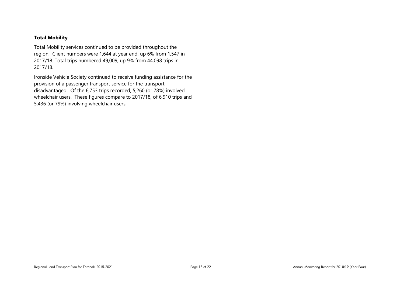#### **Total Mobility**

Total Mobility services continued to be provided throughout the region. Client numbers were 1,644 at year end, up 6% from 1,547 in 2017/18. Total trips numbered 49,009, up 9% from 44,098 trips in 2017/18.

Ironside Vehicle Society continued to receive funding assistance for the provision of a passenger transport service for the transport disadvantaged. Of the 6,753 trips recorded, 5,260 (or 78%) involved wheelchair users. These figures compare to 2017/18, of 6,910 trips and 5,436 (or 79%) involving wheelchair users.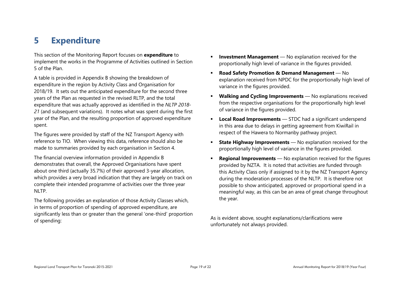# <span id="page-18-0"></span>**5 Expenditure**

This section of the Monitoring Report focuses on **expenditure** to implement the works in the Programme of Activities outlined in Section 5 of the Plan.

A table is provided in Appendix B showing the breakdown of expenditure in the region by Activity Class and Organisation for 2018/19. It sets out the anticipated expenditure for the second three years of the Plan as requested in the revised RLTP, and the total expenditure that was actually approved as identified in the *NLTP 2018- 21* (and subsequent variations). It notes what was spent during the first year of the Plan, and the resulting proportion of approved expenditure spent.

The figures were provided by staff of the NZ Transport Agency with reference to TIO. When viewing this data, reference should also be made to summaries provided by each organisation in Section 4.

The financial overview information provided in Appendix B demonstrates that overall, the Approved Organisations have spent about one third (actually 35.7%) of their approved 3-year allocation, which provides a very broad indication that they are largely on track on complete their intended programme of activities over the three year NLTP.

The following provides an explanation of those Activity Classes which, in terms of proportion of spending of approved expenditure, are significantly less than or greater than the general 'one-third' proportion of spending:

- **Investment Management** No explanation received for the proportionally high level of variance in the figures provided.
- **Road Safety Promotion & Demand Management** No explanation received from NPDC for the proportionally high level of variance in the figures provided.
- **Walking and Cycling Improvements** No explanations received from the respective organisations for the proportionally high level of variance in the figures provided.
- **Local Road Improvements** STDC had a significant underspend in this area due to delays in getting agreement from KiwiRail in respect of the Hawera to Normanby pathway project.
- **State Highway Improvements** No explanation received for the proportionally high level of variance in the figures provided.
- **Regional Improvements** No explanation received for the figures provided by NZTA. It is noted that activities are funded through this Activity Class only if assigned to it by the NZ Transport Agency during the moderation processes of the NLTP. It is therefore not possible to show anticipated, approved or proportional spend in a meaningful way, as this can be an area of great change throughout the year.

As is evident above, sought explanations/clarifications were unfortunately not always provided.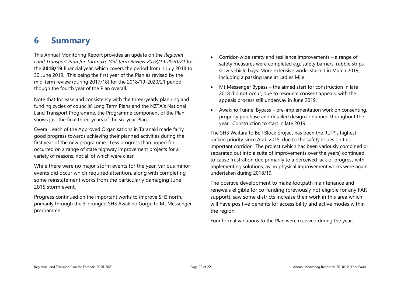# <span id="page-19-0"></span>**6 Summary**

This Annual Monitoring Report provides an update on the *Regional Land Transport Plan for Taranaki: Mid-term Review 2018/19-2020/21* for the **2018/19** financial year, which covers the period from 1 July 2018 to 30 June 2019. This being the first year of the Plan as revised by the mid-term review (during 2017/18) for the 2018/19-2020/21 period, though the fourth year of the Plan overall.

Note that for ease and consistency with the three-yearly planning and funding cycles of councils' Long Term Plans and the NZTA's National Land Transport Programme, the Programme component of the Plan shows just the final three-years of the six-year Plan.

Overall, each of the Approved Organisations in Taranaki made fairly good progress towards achieving their planned activities during the first year of the new programme. Less progress than hoped for occurred on a range of state highway improvement projects for a variety of reasons, not all of which were clear.

While there were no major storm events for the year, various minor events did occur which required attention, along with completing some reinstatement works from the particularly damaging June 2015 storm event.

Progress continued on the important works to improve SH3 north, primarily through the 3-pronged SH3 Awakino Gorge to Mt Messenger programme:

- Corridor-wide safety and resilience improvements a range of safety measures were completed e.g. safety barriers, rubble strips, slow-vehicle bays. More extensive works started in March 2019, including a passing lane at Ladies Mile.
- Mt Messenger Bypass the aimed start for construction in late 2018 did not occur, due to resource consent appeals, with the appeals process still underway in June 2019.
- Awakino Tunnel Bypass pre-implementation work on consenting, property purchase and detailed design continued throughout the year. Construction to start in late 2019.

The SH3 Waitara to Bell Block project has been the RLTP's highest ranked priority since April 2015, due to the safety issues on this important corridor. The project (which has been variously combined or separated out into a suite of improvements over the years) continued to cause frustration due primarily to a perceived lack of progress with implementing solutions, as no physical improvement works were again undertaken during 2018/19.

The positive development to make footpath maintenance and renewals eligible for co-funding (previously not eligible for any FAR support), saw some districts increase their work in this area which will have positive benefits for accessibility and active modes within the region.

Four formal variations to the Plan were received during the year.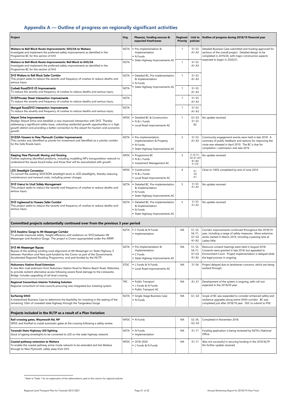# <span id="page-20-0"></span>**Appendix A — Outline of progress on regionally significant activities**

| <b>Project</b>                                                                                                                                                                                                                                                                                                                | Org.        | Phase(s), funding sources &<br>expected timeframes                                                               | Regional<br><b>Priority</b> | Link to<br>policies <sup>1</sup>                      | Outline of progress during 2018/19 financial year                                                                                                                                                                  |  |  |  |
|-------------------------------------------------------------------------------------------------------------------------------------------------------------------------------------------------------------------------------------------------------------------------------------------------------------------------------|-------------|------------------------------------------------------------------------------------------------------------------|-----------------------------|-------------------------------------------------------|--------------------------------------------------------------------------------------------------------------------------------------------------------------------------------------------------------------------|--|--|--|
| Waitara to Bell Block Route Improvements: SH3/3A to Waitara<br>Investigate and implement the preferred safety improvements as identified in the<br>Programme BC for this section of SH3                                                                                                                                       | NZTA        | Pre-implementation &<br>Implementation<br>• N Funds                                                              | -1                          | $S1-S3$<br>$A1-A3$                                    | Detailed Business Case submitted and funding approved for<br>sections of the overall project. Detailed design to be<br>completed in 2019/20, with major construction aspects                                       |  |  |  |
| Waitara to Bell Block Route Improvements: Bell Block to SH3/3A<br>Investigate and implement the preferred safety improvements as identified in the<br>Programme BC for this section of SH3                                                                                                                                    | <b>NZTA</b> | • State Highway Improvements AC                                                                                  | $\mathbf{1}$                | $S1-S3$<br>$A1 - A3$                                  | expected to begin in 2020/21.                                                                                                                                                                                      |  |  |  |
| SH3 Waitara to Bell Block Safer Corridor<br>This project seeks to reduce the severity and frequency of crashes to reduce deaths and<br>serious injury.                                                                                                                                                                        | NZTA        | • Detailed BC, Pre-implementation<br>& Implementation<br>• N Funds                                               | $\mathbf{1}$                | $S1-S3$<br>$A1 - A3$                                  |                                                                                                                                                                                                                    |  |  |  |
| Corbett Road/SH3 I/S Improvements<br>To reduce the severity and frequency of crashes to reduce deaths and serious injury.                                                                                                                                                                                                     | <b>NZTA</b> | • State Highway Improvements AC                                                                                  | $\mathbf{1}$                | $S1-S3$<br>$A1 - A3$                                  |                                                                                                                                                                                                                    |  |  |  |
| SH3/Princess Street Intersection Improvements<br>To reduce the severity and frequency of crashes to reduce deaths and serious injury.                                                                                                                                                                                         | <b>NZTA</b> |                                                                                                                  | $\mathbf{1}$                | $S1-S3$<br>$A1 - A3$                                  |                                                                                                                                                                                                                    |  |  |  |
| Mangati Road/SH3 Intersection Improvements<br>To reduce the severity and frequency of crashes to reduce deaths and serious injury.                                                                                                                                                                                            | <b>NZTA</b> |                                                                                                                  | $\mathbf{1}$                | $S1-S3$<br>$A1 - A3$                                  |                                                                                                                                                                                                                    |  |  |  |
| <b>Airport Drive Improvements</b><br>Realign Airport Drive and establish a new improved intersection with SH3. Thereby<br>addressing a significant safety issue, unlocking residential growth opportunities in a high<br>growth district and providing a better connection to the airport for tourism and economic<br>growth. |             | NPDC   Detailed BC & Construction<br>• N & L Funds<br>• Local Road Improvements AC                               | $\mathbf{1}$                | $G1-G3$<br>$S1-S3$<br>R <sub>2</sub>                  | No update received                                                                                                                                                                                                 |  |  |  |
| SH3/3A Hawera to New Plymouth Corridor Improvements<br>This corridor was identified as priority for investment and identified as a priority corridor<br>for the Safe Roads team.                                                                                                                                              | NZTA        | Pre-implementation,<br>Implementation & Property<br>$\blacksquare$ N Funds<br>• State Highway Improvements AC    | $\overline{2}$              | $S1-S3$<br>$A1 - A3$                                  | Community engagement events were held in late 2018. A<br>summary of public feedback and options for improving the<br>route was released in April 2019. The BC is due for<br>completion / submission mid-late 2019. |  |  |  |
| Keeping New Plymouth Moving and Growing<br>Further exploring identified problems, including modelling NP's transportation network to<br>understand the issues faced today and those that will be exacerbated with growth.                                                                                                     |             | NPDC   - Programme BC<br>N & L Funds<br>Investment Management AC                                                 | 3                           | $11 - 12 S1 -$<br><b>S2 A1-A3</b><br>R1-R2<br>$F1-F2$ | No update received                                                                                                                                                                                                 |  |  |  |
| <b>LED Streetlight Conversion</b><br>To convert the existing SOX/SON streetlight stock to LED streetlights, thereby reducing<br>maintenance and renewal costs, including power charges.                                                                                                                                       |             | $NPDC$ $\bullet$ Construction<br>N & L Funds<br>• Local Road Improvements AC                                     | 4                           | E1<br>S <sub>3</sub><br>Al                            | Close to 100% completed by end of June 2019.                                                                                                                                                                       |  |  |  |
| SH3 Urenui to Uruti Safety Management<br>This project seeks to reduce the severity and frequency of crashes to reduce deaths and<br>serious injury.                                                                                                                                                                           | NZTA        | Detailed BC, Pre-implementation<br>& Implementation<br>• N Funds<br>• State Highway Improvements AC              | 5                           | $S1-S3$<br>$AI-A3$                                    | No update received                                                                                                                                                                                                 |  |  |  |
| SH3 Inglewood to Hawera Safer Corridor<br>This project seeks to reduce the severity and frequency of crashes to reduce deaths and<br>serious injury.                                                                                                                                                                          | NZTA        | Detailed BC, Pre-implementation<br>& Implementation<br>$\blacksquare$ N Funds<br>• State Highway Improvements AC | 5                           | $S1-S3$<br>$A1-A3$                                    | No update received                                                                                                                                                                                                 |  |  |  |
| Committed projects substantially continued over from the previous 3 year period                                                                                                                                                                                                                                               |             |                                                                                                                  |                             |                                                       |                                                                                                                                                                                                                    |  |  |  |
| SH3 Awakino Gorge to Mt Messenger Corridor<br>To provide improved safety, freight efficiency and resilience on SH3 between Mt<br>Messenger and Awakino Gorge. The project is Crown appropriated under the ARRP.                                                                                                               |             | NZTA $\vert \bullet \vert$ C Funds & N Funds<br>· Implementation                                                 | NА                          | S1, S3,<br>S4, F1,<br>$G1-G3$<br>R1-R2                | Corridor improvements continued throughout the 2018/19<br>year, including a range of safety measures. More extensive<br>works started in March 2019, including a passing lane at<br>Ladies Mile.                   |  |  |  |
| <b>SH3 Mt Messenger Bypass</b><br>Bypass of the existing winding road alignment at Mt Messenger on State Highway 3<br>between Hamilton and New part-funded by the Crown as part of the Governments<br>Accelerated Regional Roading Programme, and part-funded by the NLTP.                                                    | NZTA        | Pre-Implementation &<br>Implementation<br>$\blacksquare$ C Funds<br>State Highway Improvements AC                | ΝA                          | S1, S3,<br>S4, F1,<br>$G1-G3$<br>R1-R2                | Resource consent hearings were held in August 2018.<br>Consents were granted in late 2018, but appealed to<br>Environment Court. Project implementation is delayed while<br>the legal process in ongoing.          |  |  |  |
| <b>Nukumaru Station Road Extension</b><br>A new 6km road extension from Nukumaru Station Road to Waiinu Beach Road, Waitotara,<br>to provide resilient alternative access following severe flood damage to the Limeworks<br>Bridge. Includes upgrading of rail level crossing.                                                | STDC        | L Funds & N Funds<br>• Local Road Improvements AC                                                                | <b>NA</b>                   | $S1-S4$                                               | Project delayed due to landowner concerns, which are being<br>worked through.                                                                                                                                      |  |  |  |
| <b>Regional Consortium Interim Ticketing Solution</b><br>Regional consortium of nine councils procuring new integrated bus ticketing system.                                                                                                                                                                                  | <b>TRC</b>  | • Public Transport<br>• L Funds & N Funds<br>■ Public Transport AC                                               | <b>NA</b>                   | A1, E1                                                | Development of the system is ongoing, with roll-out<br>expected in the 2019/20 year.                                                                                                                               |  |  |  |
| <b>Surfacing SH43</b><br>A streamlined Business Case to determine the feasibility for investing in the sealing of the<br>remaining 12km of unsealed state highway through the Tangarakau Gorge.                                                                                                                               | NZTA        | • Single-Stage Business Case<br>$\blacksquare$ N Funds                                                           | <b>NA</b>                   | G1, G3                                                | Scope of BC was expanded to consider enhanced safety and<br>resilience upgrades along entire SH43 corridor. BC was<br>completed just after 2018/19 year. SDC to submit to PGF.                                     |  |  |  |
| Projects included in the RLTP as a result of a Plan Variation                                                                                                                                                                                                                                                                 |             |                                                                                                                  |                             |                                                       |                                                                                                                                                                                                                    |  |  |  |
| Rail-crossing gates, Weymouth Rd, NP<br>NPDC and KiwiRail to install automatic gates at the crossing following a safety review.                                                                                                                                                                                               |             | NPDC   • N Funds                                                                                                 | ΝA                          | S3, S4,<br>G2, A3                                     | Completed in November 2018.                                                                                                                                                                                        |  |  |  |
| Taranaki State Highway LED lighting<br>Stock of ageing streetlights to be converted to LED on the state highway network.                                                                                                                                                                                                      |             | NZTA   N Funds<br>· Implementation                                                                               | <b>NA</b>                   | E1, F1                                                | Funding application is being reviewed by NZTA's National<br>Office.                                                                                                                                                |  |  |  |
| Coastal pathway extension to Waitara<br>To enable the coastal pathway active mode network to be extended and link Waitara<br>through to New Plymouth, safely away from SH3.                                                                                                                                                   |             | NPDC   = 2018-2020<br>L Funds & N Funds                                                                          | <b>NA</b>                   | E1, F1                                                | Was not successful in securing funding in the 2018 NLTP.<br>No further update received.                                                                                                                            |  |  |  |

 $\overline{a}$ 

 $^{\rm 1}$  Refer to Table 1 for an explanation of the abbreviations used in this column for regional policies